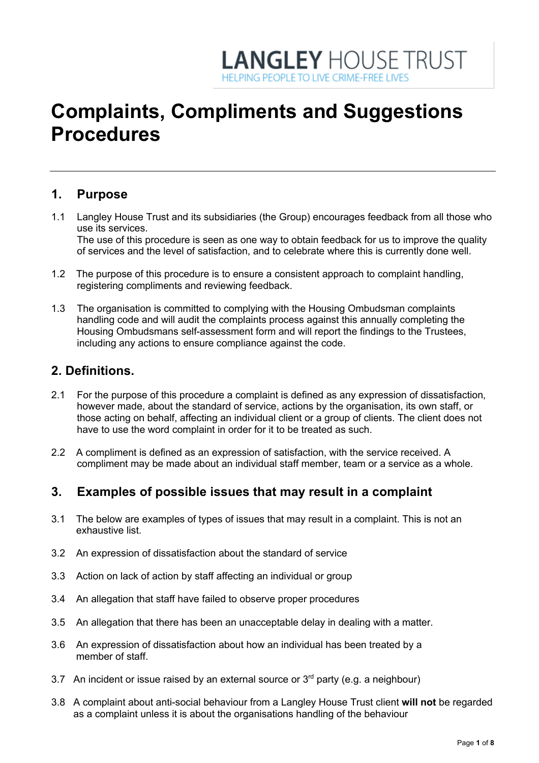# **LANGLEY HOUSE TRUST** HELPING PEOPLE TO LIVE CRIME-EREE LIV

# **Complaints, Compliments and Suggestions Procedures**

# **1. Purpose**

1.1 Langley House Trust and its subsidiaries (the Group) encourages feedback from all those who use its services. The use of this procedure is seen as one way to obtain feedback for us to improve the quality

of services and the level of satisfaction, and to celebrate where this is currently done well.

- 1.2 The purpose of this procedure is to ensure a consistent approach to complaint handling, registering compliments and reviewing feedback.
- 1.3 The organisation is committed to complying with the Housing Ombudsman complaints handling code and will audit the complaints process against this annually completing the Housing Ombudsmans self-assessment form and will report the findings to the Trustees, including any actions to ensure compliance against the code.

# **2. Definitions.**

- 2.1 For the purpose of this procedure a complaint is defined as any expression of dissatisfaction, however made, about the standard of service, actions by the organisation, its own staff, or those acting on behalf, affecting an individual client or a group of clients. The client does not have to use the word complaint in order for it to be treated as such.
- 2.2 A compliment is defined as an expression of satisfaction, with the service received. A compliment may be made about an individual staff member, team or a service as a whole.

## **3. Examples of possible issues that may result in a complaint**

- 3.1 The below are examples of types of issues that may result in a complaint. This is not an exhaustive list.
- 3.2 An expression of dissatisfaction about the standard of service
- 3.3 Action on lack of action by staff affecting an individual or group
- 3.4 An allegation that staff have failed to observe proper procedures
- 3.5 An allegation that there has been an unacceptable delay in dealing with a matter.
- 3.6 An expression of dissatisfaction about how an individual has been treated by a member of staff.
- 3.7 An incident or issue raised by an external source or  $3<sup>rd</sup>$  party (e.g. a neighbour)
- 3.8 A complaint about anti-social behaviour from a Langley House Trust client **will not** be regarded as a complaint unless it is about the organisations handling of the behaviour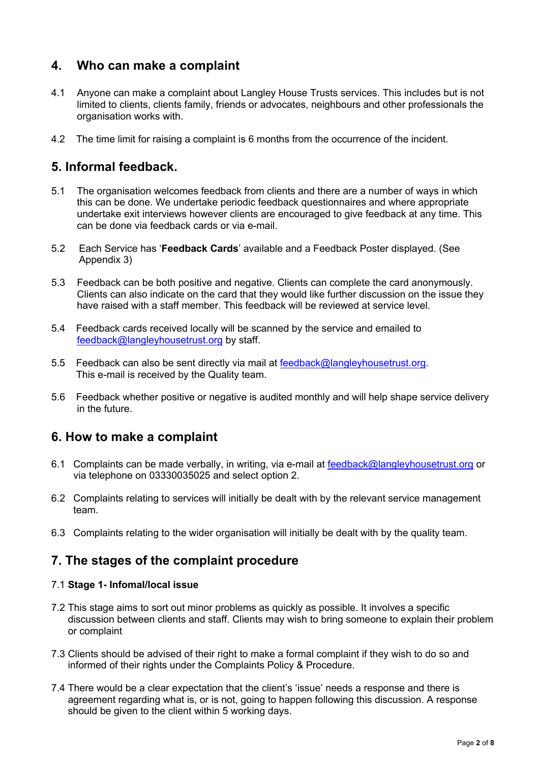# **4. Who can make a complaint**

- 4.1 Anyone can make a complaint about Langley House Trusts services. This includes but is not limited to clients, clients family, friends or advocates, neighbours and other professionals the organisation works with.
- 4.2 The time limit for raising a complaint is 6 months from the occurrence of the incident.

# **5. Informal feedback.**

- 5.1 The organisation welcomes feedback from clients and there are a number of ways in which this can be done. We undertake periodic feedback questionnaires and where appropriate undertake exit interviews however clients are encouraged to give feedback at any time. This can be done via feedback cards or via e-mail.
- 5.2 Each Service has '**Feedback Cards**' available and a Feedback Poster displayed. (See Appendix 3)
- 5.3 Feedback can be both positive and negative. Clients can complete the card anonymously. Clients can also indicate on the card that they would like further discussion on the issue they have raised with a staff member. This feedback will be reviewed at service level.
- 5.4 Feedback cards received locally will be scanned by the service and emailed to feedback@langleyhousetrust.org by staff.
- 5.5 Feedback can also be sent directly via mail at feedback@langleyhousetrust.org. This e-mail is received by the Quality team.
- 5.6 Feedback whether positive or negative is audited monthly and will help shape service delivery in the future.

# **6. How to make a complaint**

- 6.1 Complaints can be made verbally, in writing, via e-mail at feedback@langleyhousetrust.org or via telephone on 03330035025 and select option 2.
- 6.2 Complaints relating to services will initially be dealt with by the relevant service management team.
- 6.3 Complaints relating to the wider organisation will initially be dealt with by the quality team.

# **7. The stages of the complaint procedure**

#### 7.1 **Stage 1- Infomal/local issue**

- 7.2 This stage aims to sort out minor problems as quickly as possible. It involves a specific discussion between clients and staff. Clients may wish to bring someone to explain their problem or complaint
- 7.3 Clients should be advised of their right to make a formal complaint if they wish to do so and informed of their rights under the Complaints Policy & Procedure.
- 7.4 There would be a clear expectation that the client's 'issue' needs a response and there is agreement regarding what is, or is not, going to happen following this discussion. A response should be given to the client within 5 working days.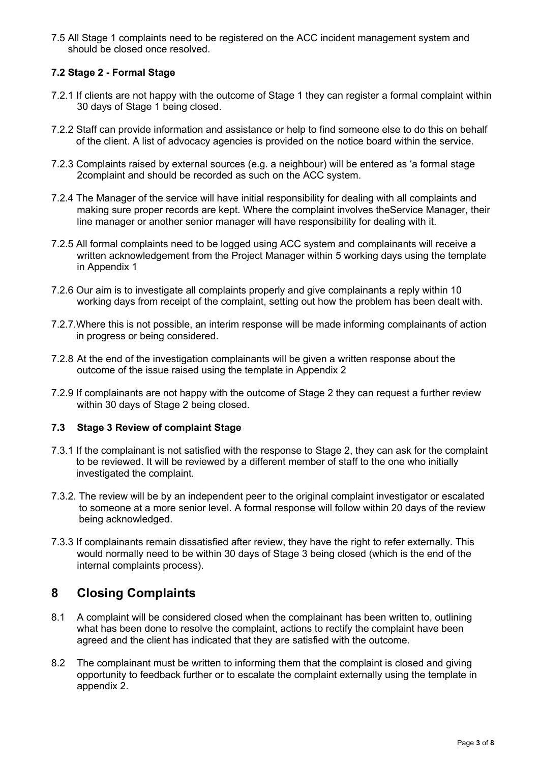7.5 All Stage 1 complaints need to be registered on the ACC incident management system and should be closed once resolved.

#### **7.2 Stage 2 - Formal Stage**

- 7.2.1 If clients are not happy with the outcome of Stage 1 they can register a formal complaint within 30 days of Stage 1 being closed.
- 7.2.2 Staff can provide information and assistance or help to find someone else to do this on behalf of the client. A list of advocacy agencies is provided on the notice board within the service.
- 7.2.3 Complaints raised by external sources (e.g. a neighbour) will be entered as 'a formal stage 2complaint and should be recorded as such on the ACC system.
- 7.2.4 The Manager of the service will have initial responsibility for dealing with all complaints and making sure proper records are kept. Where the complaint involves theService Manager, their line manager or another senior manager will have responsibility for dealing with it.
- 7.2.5 All formal complaints need to be logged using ACC system and complainants will receive a written acknowledgement from the Project Manager within 5 working days using the template in Appendix 1
- 7.2.6 Our aim is to investigate all complaints properly and give complainants a reply within 10 working days from receipt of the complaint, setting out how the problem has been dealt with.
- 7.2.7.Where this is not possible, an interim response will be made informing complainants of action in progress or being considered.
- 7.2.8 At the end of the investigation complainants will be given a written response about the outcome of the issue raised using the template in Appendix 2
- 7.2.9 If complainants are not happy with the outcome of Stage 2 they can request a further review within 30 days of Stage 2 being closed.

#### **7.3 Stage 3 Review of complaint Stage**

- 7.3.1 If the complainant is not satisfied with the response to Stage 2, they can ask for the complaint to be reviewed. It will be reviewed by a different member of staff to the one who initially investigated the complaint.
- 7.3.2. The review will be by an independent peer to the original complaint investigator or escalated to someone at a more senior level. A formal response will follow within 20 days of the review being acknowledged.
- 7.3.3 If complainants remain dissatisfied after review, they have the right to refer externally. This would normally need to be within 30 days of Stage 3 being closed (which is the end of the internal complaints process).

## **8 Closing Complaints**

- 8.1 A complaint will be considered closed when the complainant has been written to, outlining what has been done to resolve the complaint, actions to rectify the complaint have been agreed and the client has indicated that they are satisfied with the outcome.
- 8.2 The complainant must be written to informing them that the complaint is closed and giving opportunity to feedback further or to escalate the complaint externally using the template in appendix 2.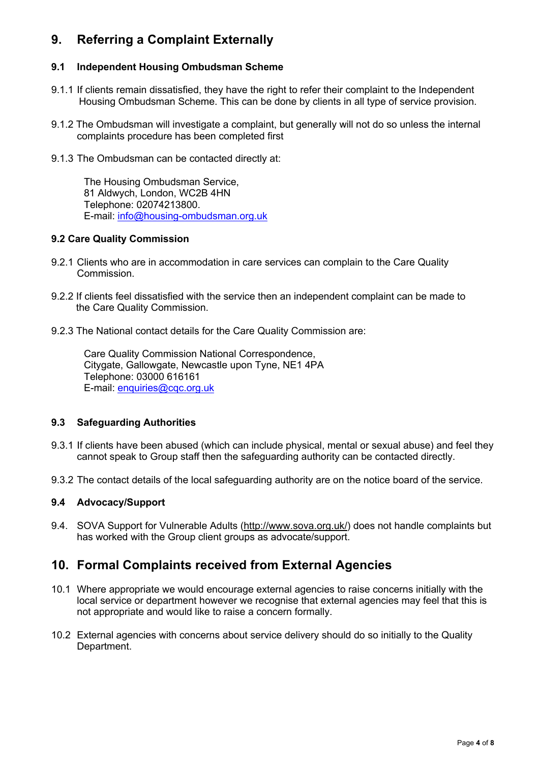# **9. Referring a Complaint Externally**

#### **9.1 Independent Housing Ombudsman Scheme**

- 9.1.1 If clients remain dissatisfied, they have the right to refer their complaint to the Independent Housing Ombudsman Scheme. This can be done by clients in all type of service provision.
- 9.1.2 The Ombudsman will investigate a complaint, but generally will not do so unless the internal complaints procedure has been completed first
- 9.1.3 The Ombudsman can be contacted directly at:

The Housing Ombudsman Service, 81 Aldwych, London, WC2B 4HN Telephone: 02074213800. E-mail: info@housing-ombudsman.org.uk

#### **9.2 Care Quality Commission**

- 9.2.1 Clients who are in accommodation in care services can complain to the Care Quality Commission.
- 9.2.2 If clients feel dissatisfied with the service then an independent complaint can be made to the Care Quality Commission.
- 9.2.3 The National contact details for the Care Quality Commission are:

Care Quality Commission National Correspondence, Citygate, Gallowgate, Newcastle upon Tyne, NE1 4PA Telephone: 03000 616161 E-mail: enquiries@cqc.org.uk

#### **9.3 Safeguarding Authorities**

- 9.3.1 If clients have been abused (which can include physical, mental or sexual abuse) and feel they cannot speak to Group staff then the safeguarding authority can be contacted directly.
- 9.3.2 The contact details of the local safeguarding authority are on the notice board of the service.

#### **9.4 Advocacy/Support**

9.4. SOVA Support for Vulnerable Adults (http://www.sova.org.uk/) does not handle complaints but has worked with the Group client groups as advocate/support.

## **10. Formal Complaints received from External Agencies**

- 10.1 Where appropriate we would encourage external agencies to raise concerns initially with the local service or department however we recognise that external agencies may feel that this is not appropriate and would like to raise a concern formally.
- 10.2 External agencies with concerns about service delivery should do so initially to the Quality Department.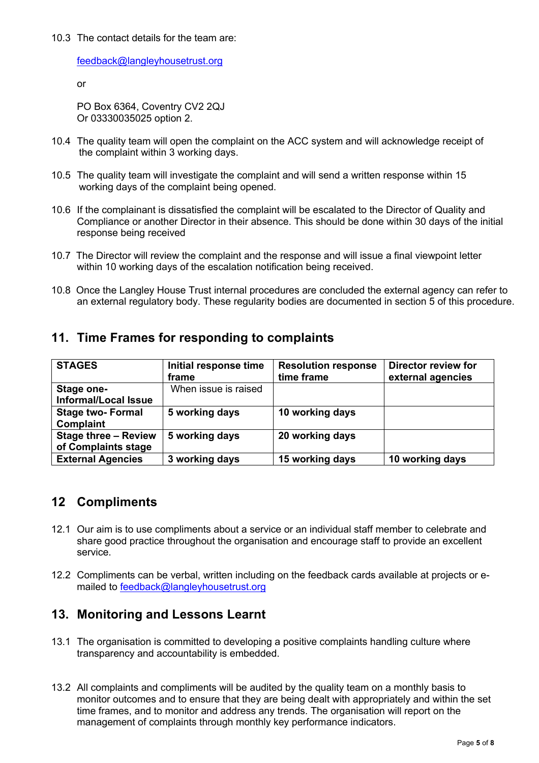#### 10.3 The contact details for the team are:

feedback@langleyhousetrust.org

or

PO Box 6364, Coventry CV2 2QJ Or 03330035025 option 2.

- 10.4 The quality team will open the complaint on the ACC system and will acknowledge receipt of the complaint within 3 working days.
- 10.5 The quality team will investigate the complaint and will send a written response within 15 working days of the complaint being opened.
- 10.6 If the complainant is dissatisfied the complaint will be escalated to the Director of Quality and Compliance or another Director in their absence. This should be done within 30 days of the initial response being received
- 10.7 The Director will review the complaint and the response and will issue a final viewpoint letter within 10 working days of the escalation notification being received.
- 10.8 Once the Langley House Trust internal procedures are concluded the external agency can refer to an external regulatory body. These regularity bodies are documented in section 5 of this procedure.

| <b>STAGES</b>                                      | Initial response time<br>frame | <b>Resolution response</b><br>time frame | Director review for<br>external agencies |
|----------------------------------------------------|--------------------------------|------------------------------------------|------------------------------------------|
| <b>Stage one-</b><br><b>Informal/Local Issue</b>   | When issue is raised           |                                          |                                          |
| <b>Stage two-Formal</b><br><b>Complaint</b>        | 5 working days                 | 10 working days                          |                                          |
| <b>Stage three - Review</b><br>of Complaints stage | 5 working days                 | 20 working days                          |                                          |
| <b>External Agencies</b>                           | 3 working days                 | 15 working days                          | 10 working days                          |

## **11. Time Frames for responding to complaints**

## **12 Compliments**

- 12.1 Our aim is to use compliments about a service or an individual staff member to celebrate and share good practice throughout the organisation and encourage staff to provide an excellent service.
- 12.2 Compliments can be verbal, written including on the feedback cards available at projects or emailed to feedback@langleyhousetrust.org

## **13. Monitoring and Lessons Learnt**

- 13.1 The organisation is committed to developing a positive complaints handling culture where transparency and accountability is embedded.
- 13.2 All complaints and compliments will be audited by the quality team on a monthly basis to monitor outcomes and to ensure that they are being dealt with appropriately and within the set time frames, and to monitor and address any trends. The organisation will report on the management of complaints through monthly key performance indicators.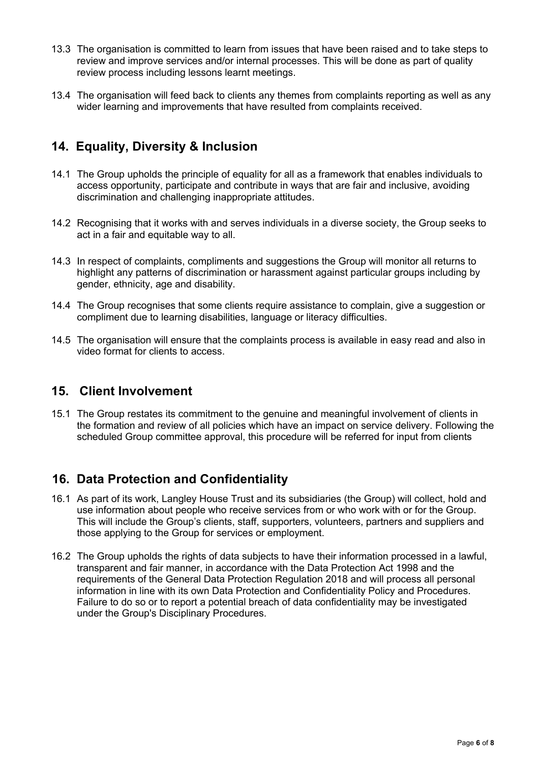- 13.3 The organisation is committed to learn from issues that have been raised and to take steps to review and improve services and/or internal processes. This will be done as part of quality review process including lessons learnt meetings.
- 13.4 The organisation will feed back to clients any themes from complaints reporting as well as any wider learning and improvements that have resulted from complaints received.

# **14. Equality, Diversity & Inclusion**

- 14.1 The Group upholds the principle of equality for all as a framework that enables individuals to access opportunity, participate and contribute in ways that are fair and inclusive, avoiding discrimination and challenging inappropriate attitudes.
- 14.2 Recognising that it works with and serves individuals in a diverse society, the Group seeks to act in a fair and equitable way to all.
- 14.3 In respect of complaints, compliments and suggestions the Group will monitor all returns to highlight any patterns of discrimination or harassment against particular groups including by gender, ethnicity, age and disability.
- 14.4 The Group recognises that some clients require assistance to complain, give a suggestion or compliment due to learning disabilities, language or literacy difficulties.
- 14.5 The organisation will ensure that the complaints process is available in easy read and also in video format for clients to access.

### **15. Client Involvement**

15.1 The Group restates its commitment to the genuine and meaningful involvement of clients in the formation and review of all policies which have an impact on service delivery. Following the scheduled Group committee approval, this procedure will be referred for input from clients

## **16. Data Protection and Confidentiality**

- 16.1 As part of its work, Langley House Trust and its subsidiaries (the Group) will collect, hold and use information about people who receive services from or who work with or for the Group. This will include the Group's clients, staff, supporters, volunteers, partners and suppliers and those applying to the Group for services or employment.
- 16.2 The Group upholds the rights of data subjects to have their information processed in a lawful, transparent and fair manner, in accordance with the Data Protection Act 1998 and the requirements of the General Data Protection Regulation 2018 and will process all personal information in line with its own Data Protection and Confidentiality Policy and Procedures. Failure to do so or to report a potential breach of data confidentiality may be investigated under the Group's Disciplinary Procedures.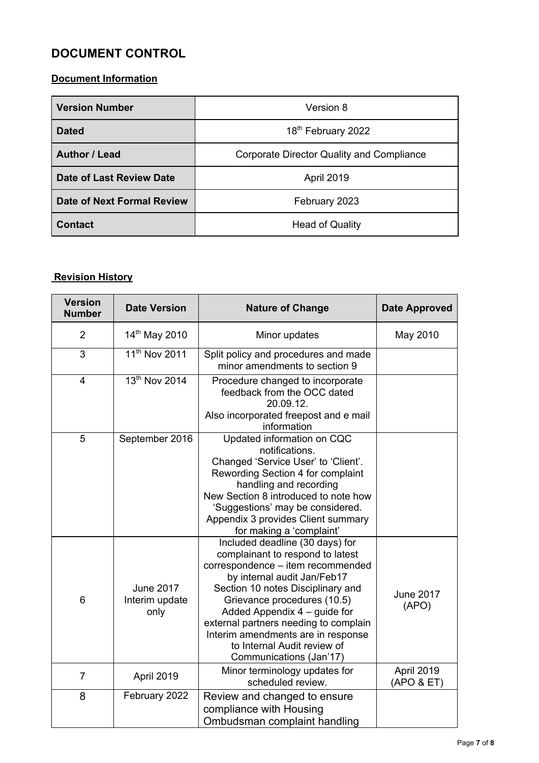# **DOCUMENT CONTROL**

### **Document Information**

| <b>Version Number</b>             | Version 8                                        |
|-----------------------------------|--------------------------------------------------|
| <b>Dated</b>                      | 18 <sup>th</sup> February 2022                   |
| <b>Author / Lead</b>              | <b>Corporate Director Quality and Compliance</b> |
| <b>Date of Last Review Date</b>   | <b>April 2019</b>                                |
| <b>Date of Next Formal Review</b> | February 2023                                    |
| <b>Contact</b>                    | <b>Head of Quality</b>                           |

# **Revision History**

| <b>Version</b><br><b>Number</b> | <b>Date Version</b>                        | <b>Nature of Change</b>                                                                                                                                                                                                                                                                                                                                                              | <b>Date Approved</b>      |
|---------------------------------|--------------------------------------------|--------------------------------------------------------------------------------------------------------------------------------------------------------------------------------------------------------------------------------------------------------------------------------------------------------------------------------------------------------------------------------------|---------------------------|
| $\overline{2}$                  | 14 <sup>th</sup> May 2010                  | Minor updates                                                                                                                                                                                                                                                                                                                                                                        | May 2010                  |
| 3                               | 11 <sup>th</sup> Nov 2011                  | Split policy and procedures and made<br>minor amendments to section 9                                                                                                                                                                                                                                                                                                                |                           |
| $\overline{4}$                  | 13th Nov 2014                              | Procedure changed to incorporate<br>feedback from the OCC dated<br>20.09.12.<br>Also incorporated freepost and e mail<br>information                                                                                                                                                                                                                                                 |                           |
| 5                               | September 2016                             | Updated information on CQC<br>notifications.<br>Changed 'Service User' to 'Client'.<br>Rewording Section 4 for complaint<br>handling and recording<br>New Section 8 introduced to note how<br>'Suggestions' may be considered.<br>Appendix 3 provides Client summary<br>for making a 'complaint'                                                                                     |                           |
| 6                               | <b>June 2017</b><br>Interim update<br>only | Included deadline (30 days) for<br>complainant to respond to latest<br>correspondence - item recommended<br>by internal audit Jan/Feb17<br>Section 10 notes Disciplinary and<br>Grievance procedures (10.5)<br>Added Appendix 4 - guide for<br>external partners needing to complain<br>Interim amendments are in response<br>to Internal Audit review of<br>Communications (Jan'17) | <b>June 2017</b><br>(APO) |
| $\overline{7}$                  | April 2019                                 | Minor terminology updates for<br>scheduled review.                                                                                                                                                                                                                                                                                                                                   | April 2019<br>(APO & ET)  |
| 8                               | February 2022                              | Review and changed to ensure<br>compliance with Housing<br>Ombudsman complaint handling                                                                                                                                                                                                                                                                                              |                           |